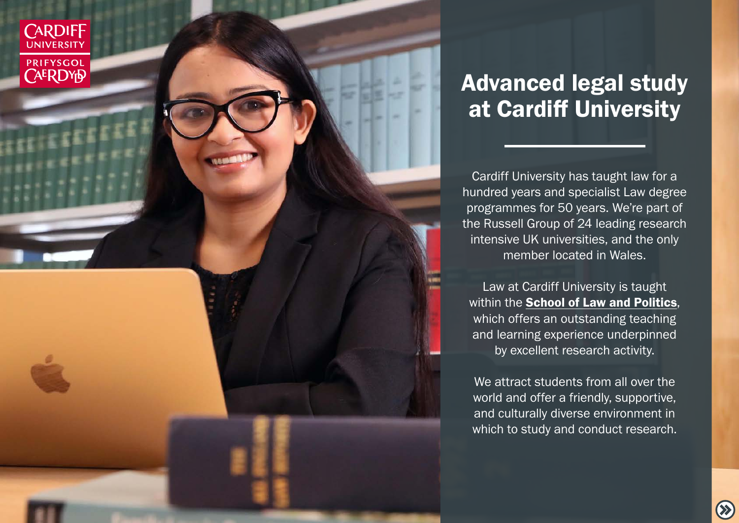# Advanced legal study at Cardiff University

**CARDIFF** UNIVERSITY

PRIFYSGOL **CAERDYD** 

> Cardiff University has taught law for a hundred years and specialist Law degree programmes for 50 years. We're part of the Russell Group of 24 leading research intensive UK universities, and the only member located in Wales.

Law at Cardiff University is taught within the [School of Law and Politics](https://www.cardiff.ac.uk/law-politics), which offers an outstanding teaching and learning experience underpinned by excellent research activity.

We attract students from all over the world and offer a friendly, supportive, and culturally diverse environment in which to study and conduct research.

 $\circledR$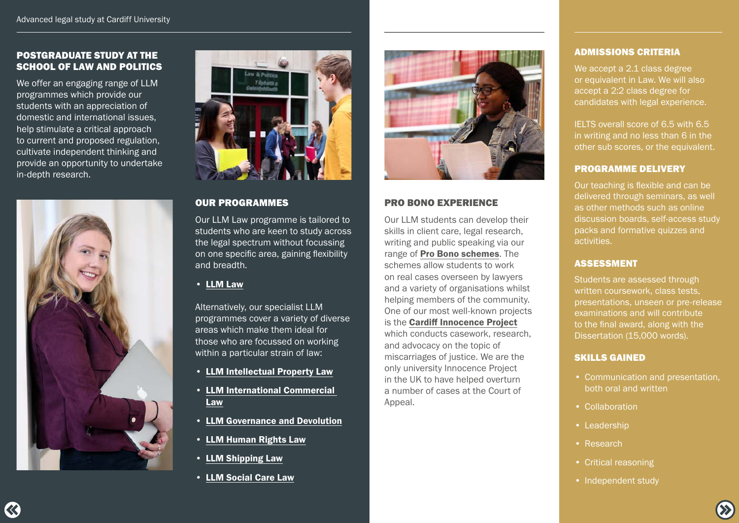## POSTGRADUATE STUDY AT THE SCHOOL OF LAW AND POLITICS

We offer an engaging range of LLM programmes which provide our students with an appreciation of domestic and international issues, help stimulate a critical approach to current and proposed regulation, cultivate independent thinking and provide an opportunity to undertake in-depth research.





## OUR PROGRAMMES

Our LLM Law programme is tailored to students who are keen to study across the legal spectrum without focussing on one specific area, gaining flexibility and breadth.

• [LLM L](https://www.cardiff.ac.uk/study/postgraduate/taught/courses/course/law-llm)aw

Alternatively, our specialist LLM programmes cover a variety of diverse areas which make them ideal for those who are focussed on working within a particular strain of law:

- [LLM Intellectual Property Law](https://www.cardiff.ac.uk/study/postgraduate/taught/courses/course/intellectual-property-law-llm)
- [LLM International Commercial](https://www.cardiff.ac.uk/study/postgraduate/taught/courses/course/international-commercial-law-llm)  [Law](https://www.cardiff.ac.uk/study/postgraduate/taught/courses/course/international-commercial-law-llm)
- [LLM Governance and Devolution](https://www.cardiff.ac.uk/study/postgraduate/taught/courses/course/governance-and-devolution-llm)
- [LLM Human Rights Law](https://www.cardiff.ac.uk/study/postgraduate/taught/courses/course/human-rights-law-llm)
- [LLM Shipping Law](https://www.cardiff.ac.uk/study/postgraduate/taught/courses/course/shipping-law-llm)
- [LLM Social Care Law](https://www.cardiff.ac.uk/study/postgraduate/taught/courses/course/social-care-law-llm)



# PRO BONO EXPERIENCE

Our LLM students can develop their skills in client care, legal research, writing and public speaking via our range of [Pro Bono schemes](https://www.cardiff.ac.uk/pro-bono). The schemes allow students to work on real cases overseen by lawyers and a variety of organisations whilst helping members of the community. One of our most well-known projects is the [Cardiff Innocence Project](https://www.cardiff.ac.uk/pro-bono/cardiff-university-innocence-project) which conducts casework, research, and advocacy on the topic of miscarriages of justice. We are the only university Innocence Project in the UK to have helped overturn a number of cases at the Court of Appeal.

### ADMISSIONS CRITERIA

We accept a 2.1 class degree or equivalent in Law. We will also accept a 2:2 class degree for candidates with legal experience.

IELTS overall score of 6.5 with 6.5 in writing and no less than 6 in the other sub scores, or the equivalent.

## PROGRAMME DELIVERY

Our teaching is flexible and can be delivered through seminars, as well as other methods such as online discussion boards, self-access study packs and formative quizzes and activities.

## ASSESSMENT

Students are assessed through written coursework, class tests, presentations, unseen or pre-release examinations and will contribute to the final award, along with the Dissertation (15,000 words).

### SKILLS GAINED

- Communication and presentation, both oral and written
- Collaboration
- Leadership
- Research
- Critical reasoning
- Independent study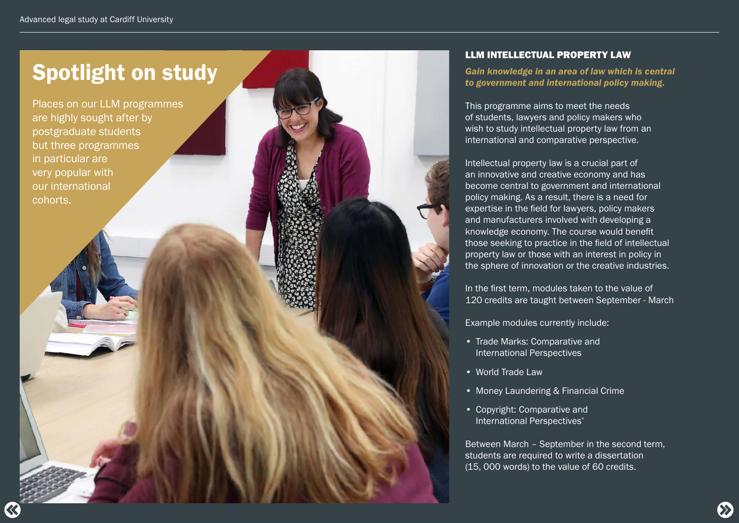# Spotlight on study

Places on our LLM programmes are highly sought after by postgraduate students but three programmes in particular are very popular with our international cohorts.

### LLM INTELLECTUAL PROPERTY LAW

*Gain knowledge in an area of law which is central to government and international policy making.*

This programme aims to meet the needs of students, lawyers and policy makers who wish to study intellectual property law from an international and comparative perspective.

Intellectual property law is a crucial part of an innovative and creative economy and has become central to government and international policy making. As a result, there is a need for expertise in the field for lawyers, policy makers and manufacturers involved with developing a knowledge economy. The course would benefit those seeking to practice in the field of intellectual property law or those with an interest in policy in the sphere of innovation or the creative industries.

In the first term, modules taken to the value of 120 credits are taught between September - March

Example modules currently include:

- Trade Marks: Comparative and International Perspectives
- World Trade Law
- Money Laundering & Financial Crime
- Copyright: Comparative and International Perspectives\*

Between March – September in the second term, students are required to write a dissertation (15, 000 words) to the value of 60 credits.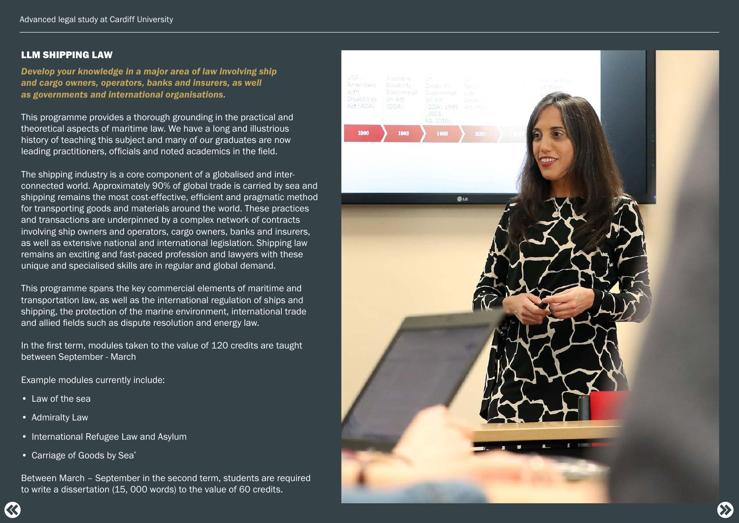### LLM SHIPPING LAW

*Develop your knowledge in a major area of law involving ship and cargo owners, operators, banks and insurers, as well as governments and international organisations.*

This programme provides a thorough grounding in the practical and theoretical aspects of maritime law. We have a long and illustrious history of teaching this subject and many of our graduates are now leading practitioners, officials and noted academics in the field.

The shipping industry is a core component of a globalised and interconnected world. Approximately 90% of global trade is carried by sea and shipping remains the most cost-effective, efficient and pragmatic method for transporting goods and materials around the world. These practices and transactions are underpinned by a complex network of contracts involving ship owners and operators, cargo owners, banks and insurers, as well as extensive national and international legislation. Shipping law remains an exciting and fast-paced profession and lawyers with these unique and specialised skills are in regular and global demand.

This programme spans the key commercial elements of maritime and transportation law, as well as the international regulation of ships and shipping, the protection of the marine environment, international trade and allied fields such as dispute resolution and energy law.

In the first term, modules taken to the value of 120 credits are taught between September - March

Example modules currently include:

- Law of the sea
- Admiralty Law
- International Refugee Law and Asylum
- Carriage of Goods by Sea\*

Between March – September in the second term, students are required to write a dissertation (15, 000 words) to the value of 60 credits.

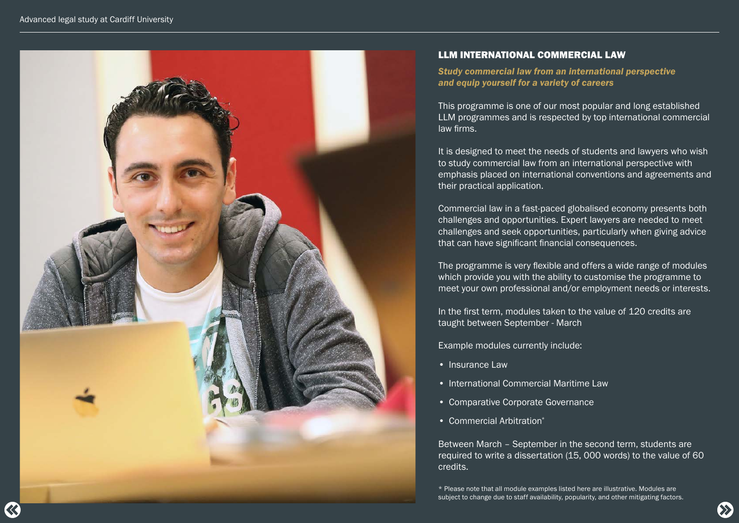

## LLM INTERNATIONAL COMMERCIAL LAW

*Study commercial law from an international perspective and equip yourself for a variety of careers*

This programme is one of our most popular and long established LLM programmes and is respected by top international commercial law firms.

It is designed to meet the needs of students and lawyers who wish to study commercial law from an international perspective with emphasis placed on international conventions and agreements and their practical application.

Commercial law in a fast-paced globalised economy presents both challenges and opportunities. Expert lawyers are needed to meet challenges and seek opportunities, particularly when giving advice that can have significant financial consequences.

The programme is very flexible and offers a wide range of modules which provide you with the ability to customise the programme to meet your own professional and/or employment needs or interests.

In the first term, modules taken to the value of 120 credits are taught between September - March

Example modules currently include:

- Insurance Law
- International Commercial Maritime Law
- Comparative Corporate Governance
- Commercial Arbitration\*

Between March – September in the second term, students are required to write a dissertation (15, 000 words) to the value of 60 credits.

\* Please note that all module examples listed here are illustrative. Modules are subject to change due to staff availability, popularity, and other mitigating factors.